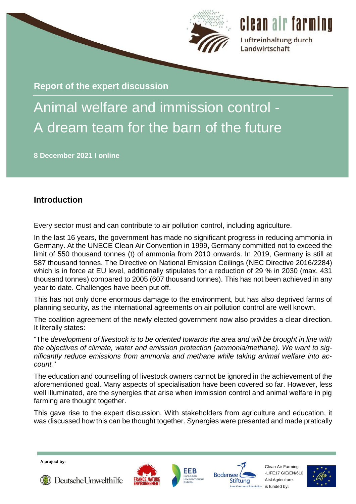

**Report of the expert discussion**

# Animal welfare and immission control - A dream team for the barn of the future

**8 December 2021 I online** 

# **Introduction**

Every sector must and can contribute to air pollution control, including agriculture.

In the last 16 years, the government has made no significant progress in reducing ammonia in Germany. At the UNECE Clean Air Convention in 1999, Germany committed not to exceed the limit of 550 thousand tonnes (t) of ammonia from 2010 onwards. In 2019, Germany is still at 587 thousand tonnes. The Directive on National Emission Ceilings (NEC Directive 2016/2284) which is in force at EU level, additionally stipulates for a reduction of 29 % in 2030 (max. 431 thousand tonnes) compared to 2005 (607 thousand tonnes). This has not been achieved in any year to date. Challenges have been put off.

This has not only done enormous damage to the environment, but has also deprived farms of planning security, as the international agreements on air pollution control are well known.

The coalition agreement of the newly elected government now also provides a clear direction. It literally states:

"The *development of livestock is to be oriented towards the area and will be brought in line with the objectives of climate, water and emission protection (ammonia/methane). We want to significantly reduce emissions from ammonia and methane while taking animal welfare into account.*"

The education and counselling of livestock owners cannot be ignored in the achievement of the aforementioned goal. Many aspects of specialisation have been covered so far. However, less well illuminated, are the synergies that arise when immission control and animal welfare in pig farming are thought together.

This gave rise to the expert discussion. With stakeholders from agriculture and education, it was discussed how this can be thought together. Synergies were presented and made pratically

**A project by:**









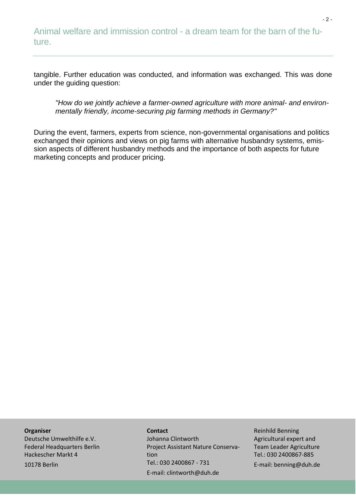tangible. Further education was conducted, and information was exchanged. This was done under the guiding question:

*"How do we jointly achieve a farmer-owned agriculture with more animal- and environmentally friendly, income-securing pig farming methods in Germany?"*

During the event, farmers, experts from science, non-governmental organisations and politics exchanged their opinions and views on pig farms with alternative husbandry systems, emission aspects of different husbandry methods and the importance of both aspects for future marketing concepts and producer pricing.

#### **Organiser**

Deutsche Umwelthilfe e.V. Federal Headquarters Berlin Hackescher Markt 4 10178 Berlin

#### **Contact**

Johanna Clintworth Project Assistant Nature Conservation Tel.: 030 2400867 - 731 E-mail: clintworth@duh.de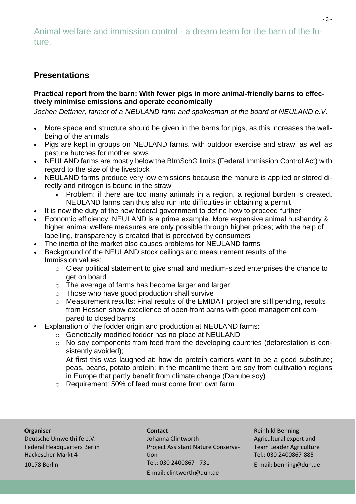# **Presentations**

# **Practical report from the barn: With fewer pigs in more animal-friendly barns to effectively minimise emissions and operate economically**

*Jochen Dettmer, farmer of a NEULAND farm and spokesman of the board of NEULAND e.V.*

- More space and structure should be given in the barns for pigs, as this increases the wellbeing of the animals
- Pigs are kept in groups on NEULAND farms, with outdoor exercise and straw, as well as pasture hutches for mother sows
- NEULAND farms are mostly below the BImSchG limits (Federal Immission Control Act) with regard to the size of the livestock
- NEULAND farms produce very low emissions because the manure is applied or stored directly and nitrogen is bound in the straw
	- Problem: if there are too many animals in a region, a regional burden is created. NEULAND farms can thus also run into difficulties in obtaining a permit
- It is now the duty of the new federal government to define how to proceed further
- Economic efficiency: NEULAND is a prime example. More expensive animal husbandry & higher animal welfare measures are only possible through higher prices; with the help of labelling, transparency is created that is perceived by consumers
- The inertia of the market also causes problems for NEULAND farms
- Background of the NEULAND stock ceilings and measurement results of the Immission values:
	- o Clear political statement to give small and medium-sized enterprises the chance to get on board
	- o The average of farms has become larger and larger
	- o Those who have good production shall survive
	- o Measurement results: Final results of the EMIDAT project are still pending, results from Hessen show excellence of open-front barns with good management compared to closed barns
- Explanation of the fodder origin and production at NEULAND farms:
	- o Genetically modified fodder has no place at NEULAND
	- o No soy components from feed from the developing countries (deforestation is consistently avoided);

At first this was laughed at: how do protein carriers want to be a good substitute; peas, beans, potato protein; in the meantime there are soy from cultivation regions in Europe that partly benefit from climate change (Danube soy)

o Requirement: 50% of feed must come from own farm

## **Organiser**

Deutsche Umwelthilfe e.V. Federal Headquarters Berlin Hackescher Markt 4 10178 Berlin

**Contact** Johanna Clintworth Project Assistant Nature Conservation Tel.: 030 2400867 - 731 E-mail: clintworth@duh.de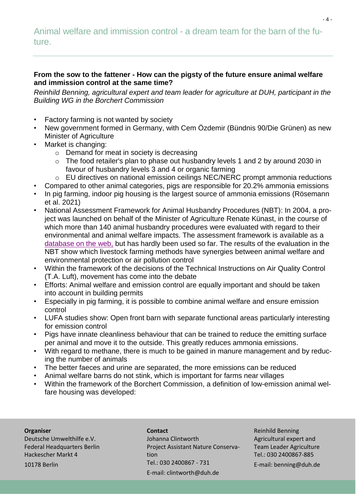# **From the sow to the fattener - How can the pigsty of the future ensure animal welfare and immission control at the same time?**

*Reinhild Benning, agricultural expert and team leader for agriculture at DUH, participant in the Building WG in the Borchert Commission*

- Factory farming is not wanted by society
- New government formed in Germany, with Cem Özdemir (Bündnis 90/Die Grünen) as new Minister of Agriculture
- Market is changing:
	- o Demand for meat in society is decreasing
	- o The food retailer's plan to phase out husbandry levels 1 and 2 by around 2030 in favour of husbandry levels 3 and 4 or organic farming
	- o EU directives on national emission ceilings NEC/NERC prompt ammonia reductions
- Compared to other animal categories, pigs are responsible for 20.2% ammonia emissions
- In pig farming, indoor pig housing is the largest source of ammonia emissions (Rösemann et al. 2021)
- National Assessment Framework for Animal Husbandry Procedures (NBT): In 2004, a project was launched on behalf of the Minister of Agriculture Renate Künast, in the course of which more than 140 animal husbandry procedures were evaluated with regard to their environmental and animal welfare impacts. The assessment framework is available as a [database on the web,](https://daten.ktbl.de/nbr/postHv.html?selectedAction=init) but has hardly been used so far. The results of the evaluation in the NBT show which livestock farming methods have synergies between animal welfare and environmental protection or air pollution control
- Within the framework of the decisions of the Technical Instructions on Air Quality Control (T.A. Luft), movement has come into the debate
- Efforts: Animal welfare and emission control are equally important and should be taken into account in building permits
- Especially in pig farming, it is possible to combine animal welfare and ensure emission control
- LUFA studies show: Open front barn with separate functional areas particularly interesting for emission control
- Pigs have innate cleanliness behaviour that can be trained to reduce the emitting surface per animal and move it to the outside. This greatly reduces ammonia emissions.
- With regard to methane, there is much to be gained in manure management and by reducing the number of animals
- The better faeces and urine are separated, the more emissions can be reduced
- Animal welfare barns do not stink, which is important for farms near villages
- Within the framework of the Borchert Commission, a definition of low-emission animal welfare housing was developed:

## **Organiser**

Deutsche Umwelthilfe e.V. Federal Headquarters Berlin Hackescher Markt 4 10178 Berlin

**Contact** Johanna Clintworth Project Assistant Nature Conservation Tel.: 030 2400867 - 731 E-mail: clintworth@duh.de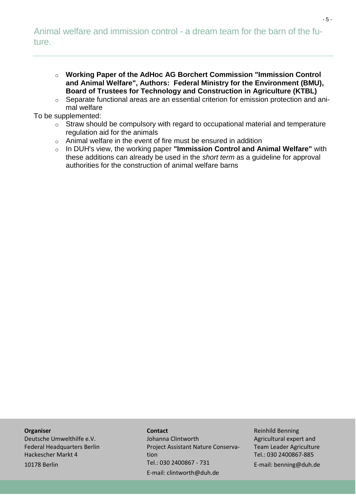- o **Working Paper of the AdHoc AG Borchert Commission ["Immission Control](https://www.clean-air-farming.eu/downloads-und-links?tx_downloads_download%5Baction%5D=show&tx_downloads_download%5Bcontroller%5D=Download&tx_downloads_download%5Bitem%5D=80&cHash=892fac5e40049fb3672849b5dc720a2f)  [and Animal Welfare"](https://www.clean-air-farming.eu/downloads-und-links?tx_downloads_download%5Baction%5D=show&tx_downloads_download%5Bcontroller%5D=Download&tx_downloads_download%5Bitem%5D=80&cHash=892fac5e40049fb3672849b5dc720a2f), Authors: Federal Ministry for the Environment (BMU), Board of Trustees for Technology and Construction in Agriculture (KTBL)**
- o Separate functional areas are an essential criterion for emission protection and animal welfare

To be supplemented:

- o Straw should be compulsory with regard to occupational material and temperature regulation aid for the animals
- o Animal welfare in the event of fire must be ensured in addition
- o In DUH's view, the working paper **["Immission Control and Animal W](https://www.clean-air-farming.eu/downloads-und-links?tx_downloads_download%5Baction%5D=show&tx_downloads_download%5Bcontroller%5D=Download&tx_downloads_download%5Bitem%5D=80&cHash=892fac5e40049fb3672849b5dc720a2f)elfare"** with these additions can already be used in the *short term* as a guideline for approval authorities for the construction of animal welfare barns

#### **Organiser**

Deutsche Umwelthilfe e.V. Federal Headquarters Berlin Hackescher Markt 4 10178 Berlin

#### **Contact**

Johanna Clintworth Project Assistant Nature Conservation Tel.: 030 2400867 - 731 E-mail: clintworth@duh.de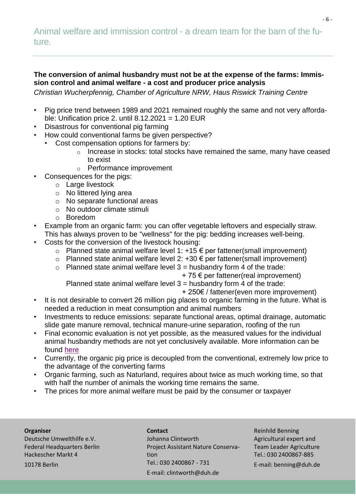## **The conversion of animal husbandry must not be at the expense of the farms: Immission control and animal welfare - a cost and producer price analysis**

*Christian Wucherpfennig, Chamber of Agriculture NRW, Haus Riswick Training Centre*

- Pig price trend between 1989 and 2021 remained roughly the same and not very affordable: Unification price 2. until  $8.12.2021 = 1.20$  EUR
- Disastrous for conventional pig farming
- How could conventional farms be given perspective?
	- Cost compensation options for farmers by:
		- o Increase in stocks: total stocks have remained the same, many have ceased to exist
		- o Performance improvement
	- Consequences for the pigs:
		- o Large livestock
		- o No littered lying area
		- o No separate functional areas
		- o No outdoor climate stimuli
		- o Boredom
- Example from an organic farm: you can offer vegetable leftovers and especially straw. This has always proven to be "wellness" for the pig: bedding increases well-being.
- Costs for the conversion of the livestock housing:
	- o Planned state animal welfare level 1:  $+15 \notin$  per fattener(small improvement)
	- o Planned state animal welfare level 2: +30 € per fattener(small improvement)
	- $\circ$  Planned state animal welfare level 3 = husbandry form 4 of the trade:

 $+ 75 \in$  per fattener(real improvement)

Planned state animal welfare level  $3$  = husbandry form 4 of the trade:

- + 250€ / fattener(even more improvement)
- It is not desirable to convert 26 million pig places to organic farming in the future. What is needed a reduction in meat consumption and animal numbers
- Investments to reduce emissions: separate functional areas, optimal drainage, automatic slide gate manure removal, technical manure-urine separation, roofing of the run
- Final economic evaluation is not yet possible, as the measured values for the individual animal husbandry methods are not yet conclusively available. More information can be found [here](https://www.ktbl.de/themen/emidat)
- Currently, the organic pig price is decoupled from the conventional, extremely low price to the advantage of the converting farms
- Organic farming, such as Naturland, requires about twice as much working time, so that with half the number of animals the working time remains the same.
- The prices for more animal welfare must be paid by the consumer or taxpayer

#### **Organiser**

Deutsche Umwelthilfe e.V. Federal Headquarters Berlin Hackescher Markt 4 10178 Berlin

**Contact** Johanna Clintworth Project Assistant Nature Conservation Tel.: 030 2400867 - 731 E-mail: clintworth@duh.de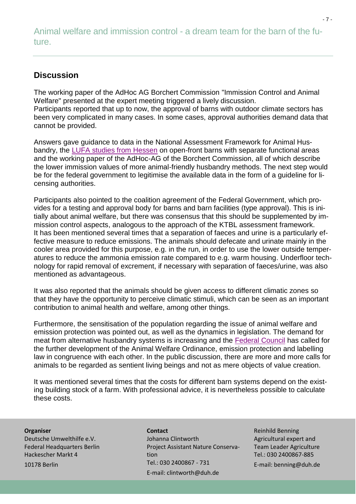# **Discussion**

The working paper of the AdHoc AG Borchert Commission "Immission Control and Animal Welfare" presented at the expert meeting triggered a lively discussion. Participants reported that up to now, the approval of barns with outdoor climate sectors has been very complicated in many cases. In some cases, approval authorities demand data that cannot be provided.

Answers gave guidance to data in the National Assessment Framework for Animal Husbandry, the [LUFA studies from Hessen](https://tierschutz.hessen.de/sites/tierschutz.hessen.de/files/EndberidchtAu%C3%9FenklimastallHessen23.01.2020_0.pdf) on open-front barns with separate functional areas and the working paper of the AdHoc-AG of the Borchert Commission, all of which describe the lower immission values of more animal-friendly husbandry methods. The next step would be for the federal government to legitimise the available data in the form of a guideline for licensing authorities.

Participants also pointed to the coalition agreement of the Federal Government, which provides for a testing and approval body for barns and barn facilities (type approval). This is initially about animal welfare, but there was consensus that this should be supplemented by immission control aspects, analogous to the approach of the KTBL assessment framework. It has been mentioned several times that a separation of faeces and urine is a particularly effective measure to reduce emissions. The animals should defecate and urinate mainly in the cooler area provided for this purpose, e.g. in the run, in order to use the lower outside temperatures to reduce the ammonia emission rate compared to e.g. warm housing. Underfloor technology for rapid removal of excrement, if necessary with separation of faeces/urine, was also mentioned as advantageous.

It was also reported that the animals should be given access to different climatic zones so that they have the opportunity to perceive climatic stimuli, which can be seen as an important contribution to animal health and welfare, among other things.

Furthermore, the sensitisation of the population regarding the issue of animal welfare and emission protection was pointed out, as well as the dynamics in legislation. The demand for meat from alternative husbandry systems is increasing and the [Federal Council](https://www.bundesrat.de/DE/plenum/bundesrat-kompakt/21/1005/59.html) has called for the further development of the Animal Welfare Ordinance, emission protection and labelling law in congruence with each other. In the public discussion, there are more and more calls for animals to be regarded as sentient living beings and not as mere objects of value creation.

It was mentioned several times that the costs for different barn systems depend on the existing building stock of a farm. With professional advice, it is nevertheless possible to calculate these costs.

## **Organiser**

Deutsche Umwelthilfe e.V. Federal Headquarters Berlin Hackescher Markt 4 10178 Berlin

**Contact** Johanna Clintworth Project Assistant Nature Conservation Tel.: 030 2400867 - 731 E-mail: clintworth@duh.de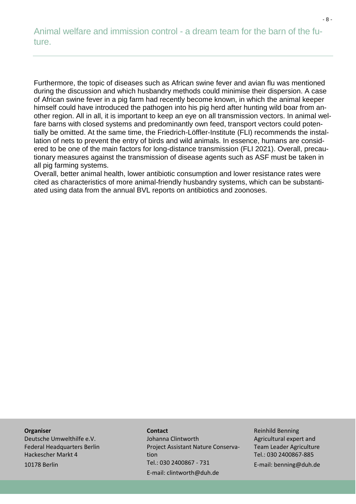Furthermore, the topic of diseases such as African swine fever and avian flu was mentioned during the discussion and which husbandry methods could minimise their dispersion. A case of African swine fever in a pig farm had recently become known, in which the animal keeper himself could have introduced the pathogen into his pig herd after hunting wild boar from another region. All in all, it is important to keep an eye on all transmission vectors. In animal welfare barns with closed systems and predominantly own feed, transport vectors could potentially be omitted. At the same time, the Friedrich-Löffler-Institute (FLI) recommends the installation of nets to prevent the entry of birds and wild animals. In essence, humans are considered to be one of the main factors for long-distance transmission (FLI 2021). Overall, precautionary measures against the transmission of disease agents such as ASF must be taken in all pig farming systems.

Overall, better animal health, lower antibiotic consumption and lower resistance rates were cited as characteristics of more animal-friendly husbandry systems, which can be substantiated using data from the annual BVL reports on antibiotics and zoonoses.

#### **Organiser**

Deutsche Umwelthilfe e.V. Federal Headquarters Berlin Hackescher Markt 4 10178 Berlin

#### **Contact**

Johanna Clintworth Project Assistant Nature Conservation Tel.: 030 2400867 - 731 E-mail: clintworth@duh.de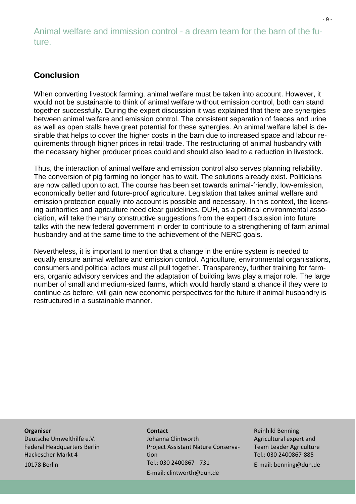# **Conclusion**

When converting livestock farming, animal welfare must be taken into account. However, it would not be sustainable to think of animal welfare without emission control, both can stand together successfully. During the expert discussion it was explained that there are synergies between animal welfare and emission control. The consistent separation of faeces and urine as well as open stalls have great potential for these synergies. An animal welfare label is desirable that helps to cover the higher costs in the barn due to increased space and labour requirements through higher prices in retail trade. The restructuring of animal husbandry with the necessary higher producer prices could and should also lead to a reduction in livestock.

Thus, the interaction of animal welfare and emission control also serves planning reliability. The conversion of pig farming no longer has to wait. The solutions already exist. Politicians are now called upon to act. The course has been set towards animal-friendly, low-emission, economically better and future-proof agriculture. Legislation that takes animal welfare and emission protection equally into account is possible and necessary. In this context, the licensing authorities and agriculture need clear guidelines. DUH, as a political environmental association, will take the many constructive suggestions from the expert discussion into future talks with the new federal government in order to contribute to a strengthening of farm animal husbandry and at the same time to the achievement of the NERC goals.

Nevertheless, it is important to mention that a change in the entire system is needed to equally ensure animal welfare and emission control. Agriculture, environmental organisations, consumers and political actors must all pull together. Transparency, further training for farmers, organic advisory services and the adaptation of building laws play a major role. The large number of small and medium-sized farms, which would hardly stand a chance if they were to continue as before, will gain new economic perspectives for the future if animal husbandry is restructured in a sustainable manner.

#### **Organiser**

Deutsche Umwelthilfe e.V. Federal Headquarters Berlin Hackescher Markt 4 10178 Berlin

## **Contact** Johanna Clintworth Project Assistant Nature Conservation Tel.: 030 2400867 - 731 E-mail: clintworth@duh.de